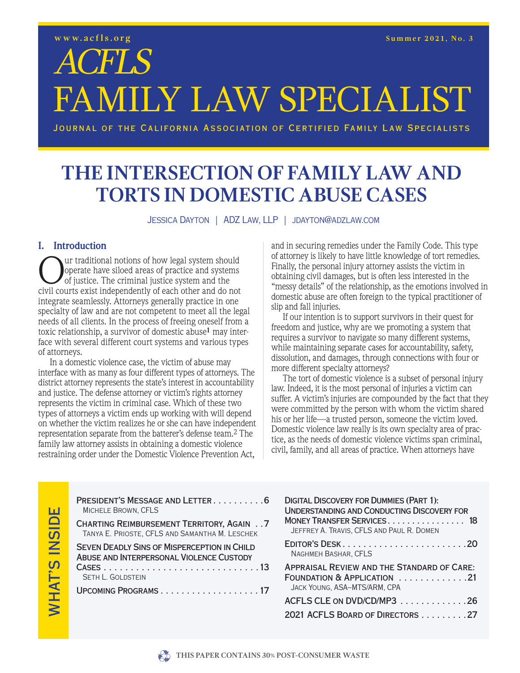**ACFLS** 

FAMILY LAW SPECIALIST

JOURNAL OF THE CALIFORNIA ASSOCIATION OF CERTIFIED FAMILY LAW SPECIALISTS

## THE INTERSECTION OF FAMILY LAW AND **TORTS IN DOMESTIC ABUSE CASES**

JESSICA DAYTON | ADZ LAW, LLP | JDAYTON@ADZLAW.COM

#### **I.** Introduction

ur traditional notions of how legal system should operate have siloed areas of practice and systems of justice. The criminal justice system and the civil courts exist independently of each other and do not integrate seamlessly. Attorneys generally practice in one specialty of law and are not competent to meet all the legal needs of all clients. In the process of freeing oneself from a toxic relationship, a survivor of domestic abuse<sup>1</sup> may interface with several different court systems and various types of attorneys.

In a domestic violence case, the victim of abuse may interface with as many as four different types of attornevs. The district attorney represents the state's interest in accountability and justice. The defense attorney or victim's rights attorney represents the victim in criminal case. Which of these two types of attorneys a victim ends up working with will depend on whether the victim realizes he or she can have independent representation separate from the batterer's defense team.<sup>2</sup> The family law attorney assists in obtaining a domestic violence restraining order under the Domestic Violence Prevention Act,

and in securing remedies under the Family Code. This type of attorney is likely to have little knowledge of tort remedies. Finally, the personal injury attorney assists the victim in obtaining civil damages, but is often less interested in the "messy details" of the relationship, as the emotions involved in domestic abuse are often foreign to the typical practitioner of slip and fall injuries.

If our intention is to support survivors in their quest for freedom and justice, why are we promoting a system that requires a survivor to navigate so many different systems, while maintaining separate cases for accountability, safety. dissolution, and damages, through connections with four or more different specialty attorneys?

The tort of domestic violence is a subset of personal injury law. Indeed, it is the most personal of injuries a victim can suffer. A victim's injuries are compounded by the fact that they were committed by the person with whom the victim shared his or her life—a trusted person, someone the victim loved. Domestic violence law really is its own specialty area of practice, as the needs of domestic violence victims span criminal, civil, family, and all areas of practice. When attorneys have

| PRESIDENT'S MESSAGE AND LETTER6<br>MICHELE BROWN, CFLS                                             | <b>DIGITAL DISCOVERY FOR DUMMIES (PART 1):</b><br><b>UNDERSTANDING AND CONDUCTING DISCOVERY FOR</b> |
|----------------------------------------------------------------------------------------------------|-----------------------------------------------------------------------------------------------------|
| <b>CHARTING REIMBURSEMENT TERRITORY, AGAIN 7</b><br>TANYA E. PRIOSTE, CFLS AND SAMANTHA M. LESCHEK | MONEY TRANSFER SERVICES 18<br>JEFFREY A. TRAVIS, CFLS AND PAUL R. DOMEN                             |
| <b>SEVEN DEADLY SINS OF MISPERCEPTION IN CHILD</b><br>ABUSE AND INTERPERSONAL VIOLENCE CUSTODY     | EDITOR'S DESK20<br>NAGHMEH BASHAR, CFLS                                                             |
| <b>SETH L. GOLDSTEIN</b>                                                                           | <b>APPRAISAL REVIEW AND THE STANDARD OF CARE:</b><br>FOUNDATION & APPLICATION 21                    |
| UPCOMING PROGRAMS17                                                                                | JACK YOUNG, ASA-MTS/ARM, CPA                                                                        |
|                                                                                                    | ACFLS CLE ON DVD/CD/MP3 26                                                                          |
|                                                                                                    | 2021 ACFLS BOARD OF DIRECTORS 27                                                                    |
|                                                                                                    |                                                                                                     |



**WHAT'S INSIDE**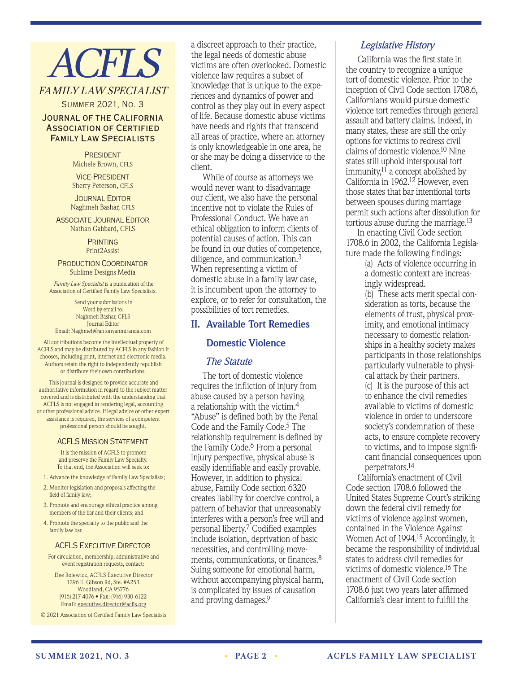# **ACFLS**

### FAMILY LAW SPECIALIST

Summer 2021, No. 3

#### Journal of the California Association of Certified Family Law Specialists

**PRESIDENT** Michele Brown, CFLS

Vice-President Sherry Peterson, CFLS

Journal Editor Naghmeh Bashar, cfls

Associate Journal Editor Nathan Gabbard, CFLS

> **PRINTING** Print2Assist

Production Coordinator Sublime Designs Media

*Family Law Specialist* is a publication of the Association of Certified Family Law Specialists.

Send your submissions in Word by email to: Naghmeh Bashar, CFLS Journal Editor Email: Naghmeh@antonyanmiranda.com

All contributions become the intellectual property of ACFLS and may be distributed by ACFLS in any fashion it chooses, including print, internet and electronic media. Authors retain the right to independently republish or distribute their own contributions.

This journal is designed to provide accurate and authoritative information in regard to the subject matter covered and is distributed with the understanding that ACFLS is not engaged in rendering legal, accounting or other professional advice. If legal advice or other expert assistance is required, the services of a competent professional person should be sought.

#### ACFLS Mission Statement

It is the mission of ACFLS to promote and preserve the Family Law Specialty. To that end, the Association will seek to:

- 1. Advance the knowledge of Family Law Specialists;
- 2. Monitor legislation and proposals affecting the field of family law;
- 3. Promote and encourage ethical practice among members of the bar and their clients; and
- 4. Promote the specialty to the public and the family law bar.

#### **ACFLS EXECUTIVE DIRECTOR**

For circulation, membership, administrative and event registration requests, contact:

Dee Rolewicz, ACFLS Executive Director 1296 E. Gibson Rd, Ste. #A253 Woodland, CA 95776 (916) 217-4076 • Fax: (916) 930-6122 Email: executive.director@acfls.org

© 2021 Association of Certified Family Law Specialists

a discreet approach to their practice, the legal needs of domestic abuse victims are often overlooked. Domestic violence law requires a subset of knowledge that is unique to the experiences and dynamics of power and control as they play out in every aspect of life. Because domestic abuse victims have needs and rights that transcend all areas of practice, where an attorney is only knowledgeable in one area, he or she may be doing a disservice to the client.

While of course as attorneys we would never want to disadvantage our client, we also have the personal incentive not to violate the Rules of Professional Conduct. We have an ethical obligation to inform clients of potential causes of action. This can be found in our duties of competence, diligence, and communication.3 When representing a victim of domestic abuse in a family law case, it is incumbent upon the attorney to explore, or to refer for consultation, the possibilities of tort remedies.

#### **II. Available Tort Remedies**

#### **Domestic Violence**

#### *The Statute*

The tort of domestic violence requires the infliction of injury from abuse caused by a person having a relationship with the victim.4 "Abuse" is defined both by the Penal Code and the Family Code.<sup>5</sup> The relationship requirement is defined by the Family Code.<sup>6</sup> From a personal injury perspective, physical abuse is easily identifiable and easily provable. However, in addition to physical abuse, Family Code section 6320 creates liability for coercive control, a pattern of behavior that unreasonably interferes with a person's free will and personal liberty.7 Codified examples include isolation, deprivation of basic necessities, and controlling movements, communications, or finances.<sup>8</sup> Suing someone for emotional harm, without accompanying physical harm, is complicated by issues of causation and proving damages.9

#### *Legislative History*

California was the first state in the country to recognize a unique tort of domestic violence. Prior to the inception of Civil Code section 1708.6, Californians would pursue domestic violence tort remedies through general assault and battery claims. Indeed, in many states, these are still the only options for victims to redress civil claims of domestic violence.10 Nine states still uphold interspousal tort immunity, $11$  a concept abolished by California in 1962.12 However, even those states that bar intentional torts between spouses during marriage permit such actions after dissolution for tortious abuse during the marriage.13

In enacting Civil Code section 1708.6 in 2002, the California Legislature made the following findings:

> (a) Acts of violence occurring in a domestic context are increasingly widespread.

(b) These acts merit special consideration as torts, because the elements of trust, physical proximity, and emotional intimacy necessary to domestic relationships in a healthy society makes participants in those relationships particularly vulnerable to physical attack by their partners. (c) It is the purpose of this act to enhance the civil remedies available to victims of domestic violence in order to underscore

society's condemnation of these acts, to ensure complete recovery to victims, and to impose significant financial consequences upon perpetrators.14

California's enactment of Civil Code section 1708.6 followed the United States Supreme Court's striking down the federal civil remedy for victims of violence against women, contained in the Violence Against Women Act of 1994.15 Accordingly, it became the responsibility of individual states to address civil remedies for victims of domestic violence.16 The enactment of Civil Code section 1708.6 just two years later affirmed California's clear intent to fulfill the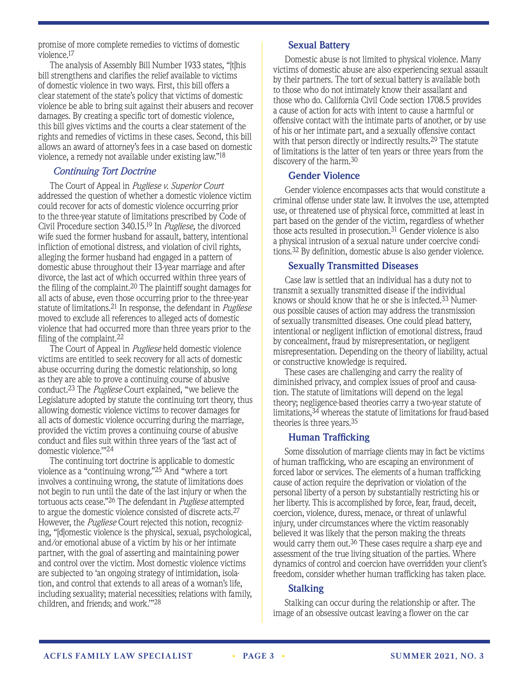promise of more complete remedies to victims of domestic violence.17

The analysis of Assembly Bill Number 1933 states, "[t]his bill strengthens and clarifies the relief available to victims of domestic violence in two ways. First, this bill offers a clear statement of the state's policy that victims of domestic violence be able to bring suit against their abusers and recover damages. By creating a specific tort of domestic violence, this bill gives victims and the courts a clear statement of the rights and remedies of victims in these cases. Second, this bill allows an award of attorney's fees in a case based on domestic violence, a remedy not available under existing law."18

#### *Continuing Tort Doctrine*

The Court of Appeal in *Pugliese v. Superior Court* addressed the question of whether a domestic violence victim could recover for acts of domestic violence occurring prior to the three-year statute of limitations prescribed by Code of Civil Procedure section 340.15.19 In *Pugliese,* the divorced wife sued the former husband for assault, battery, intentional infliction of emotional distress, and violation of civil rights, alleging the former husband had engaged in a pattern of domestic abuse throughout their 13-year marriage and after divorce, the last act of which occurred within three years of the filing of the complaint.20 The plaintiff sought damages for all acts of abuse, even those occurring prior to the three-year statute of limitations.21 In response, the defendant in *Pugliese*  moved to exclude all references to alleged acts of domestic violence that had occurred more than three years prior to the filing of the complaint.22

The Court of Appeal in *Pugliese* held domestic violence victims are entitled to seek recovery for all acts of domestic abuse occurring during the domestic relationship, so long as they are able to prove a continuing course of abusive conduct.23 The *Pugliese* Court explained, "we believe the Legislature adopted by statute the continuing tort theory, thus allowing domestic violence victims to recover damages for all acts of domestic violence occurring during the marriage, provided the victim proves a continuing course of abusive conduct and files suit within three years of the 'last act of domestic violence.'"24

The continuing tort doctrine is applicable to domestic violence as a "continuing wrong."25 And "where a tort involves a continuing wrong, the statute of limitations does not begin to run until the date of the last injury or when the tortuous acts cease."26 The defendant in *Pugliese* attempted to argue the domestic violence consisted of discrete acts.27 However, the *Pugliese* Court rejected this notion, recognizing, "[d]omestic violence is the physical, sexual, psychological, and/or emotional abuse of a victim by his or her intimate partner, with the goal of asserting and maintaining power and control over the victim. Most domestic violence victims are subjected to 'an ongoing strategy of intimidation, isolation, and control that extends to all areas of a woman's life, including sexuality; material necessities; relations with family, children, and friends; and work.'"28

#### **Sexual Battery**

Domestic abuse is not limited to physical violence. Many victims of domestic abuse are also experiencing sexual assault by their partners. The tort of sexual battery is available both to those who do not intimately know their assailant and those who do. California Civil Code section 1708.5 provides a cause of action for acts with intent to cause a harmful or offensive contact with the intimate parts of another, or by use of his or her intimate part, and a sexually offensive contact with that person directly or indirectly results.<sup>29</sup> The statute of limitations is the latter of ten years or three years from the discovery of the harm.30

#### **Gender Violence**

Gender violence encompasses acts that would constitute a criminal offense under state law. It involves the use, attempted use, or threatened use of physical force, committed at least in part based on the gender of the victim, regardless of whether those acts resulted in prosecution.<sup>31</sup> Gender violence is also a physical intrusion of a sexual nature under coercive conditions.32 By definition, domestic abuse is also gender violence.

#### **Sexually Transmitted Diseases**

Case law is settled that an individual has a duty not to transmit a sexually transmitted disease if the individual knows or should know that he or she is infected.33 Numerous possible causes of action may address the transmission of sexually transmitted diseases. One could plead battery, intentional or negligent infliction of emotional distress, fraud by concealment, fraud by misrepresentation, or negligent misrepresentation. Depending on the theory of liability, actual or constructive knowledge is required.

These cases are challenging and carry the reality of diminished privacy, and complex issues of proof and causation. The statute of limitations will depend on the legal theory; negligence-based theories carry a two-year statute of limitations,34 whereas the statute of limitations for fraud-based theories is three years.35

#### **Human Trafficking**

Some dissolution of marriage clients may in fact be victims of human trafficking, who are escaping an environment of forced labor or services. The elements of a human trafficking cause of action require the deprivation or violation of the personal liberty of a person by substantially restricting his or her liberty. This is accomplished by force, fear, fraud, deceit, coercion, violence, duress, menace, or threat of unlawful injury, under circumstances where the victim reasonably believed it was likely that the person making the threats would carry them out.<sup>36</sup> These cases require a sharp eye and assessment of the true living situation of the parties. Where dynamics of control and coercion have overridden your client's freedom, consider whether human trafficking has taken place.

#### **Stalking**

Stalking can occur during the relationship or after. The image of an obsessive outcast leaving a flower on the car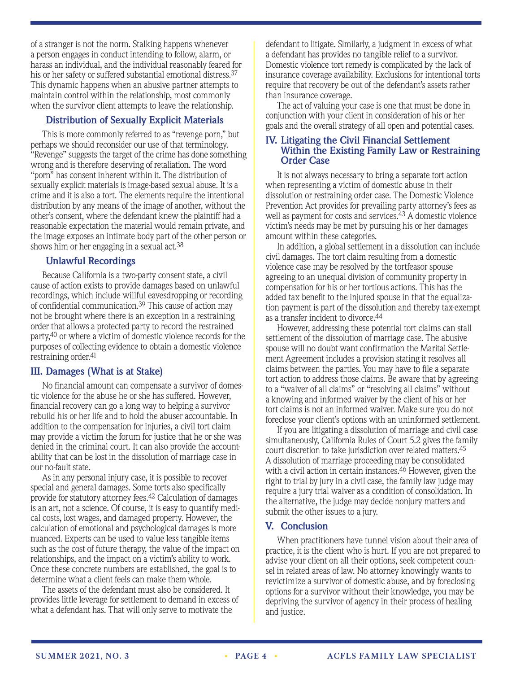of a stranger is not the norm. Stalking happens whenever a person engages in conduct intending to follow, alarm, or harass an individual, and the individual reasonably feared for his or her safety or suffered substantial emotional distress.37 This dynamic happens when an abusive partner attempts to maintain control within the relationship, most commonly when the survivor client attempts to leave the relationship.

#### **Distribution of Sexually Explicit Materials**

This is more commonly referred to as "revenge porn," but perhaps we should reconsider our use of that terminology. "Revenge" suggests the target of the crime has done something wrong and is therefore deserving of retaliation. The word "porn" has consent inherent within it. The distribution of sexually explicit materials is image-based sexual abuse. It is a crime and it is also a tort. The elements require the intentional distribution by any means of the image of another, without the other's consent, where the defendant knew the plaintiff had a reasonable expectation the material would remain private, and the image exposes an intimate body part of the other person or shows him or her engaging in a sexual act.38

#### **Unlawful Recordings**

Because California is a two-party consent state, a civil cause of action exists to provide damages based on unlawful recordings, which include willful eavesdropping or recording of confidential communication.39 This cause of action may not be brought where there is an exception in a restraining order that allows a protected party to record the restrained party,40 or where a victim of domestic violence records for the purposes of collecting evidence to obtain a domestic violence restraining order.<sup>41</sup>

#### **III. Damages (What is at Stake)**

No financial amount can compensate a survivor of domestic violence for the abuse he or she has suffered. However, financial recovery can go a long way to helping a survivor rebuild his or her life and to hold the abuser accountable. In addition to the compensation for injuries, a civil tort claim may provide a victim the forum for justice that he or she was denied in the criminal court. It can also provide the accountability that can be lost in the dissolution of marriage case in our no-fault state.

As in any personal injury case, it is possible to recover special and general damages. Some torts also specifically provide for statutory attorney fees.42 Calculation of damages is an art, not a science. Of course, it is easy to quantify medical costs, lost wages, and damaged property. However, the calculation of emotional and psychological damages is more nuanced. Experts can be used to value less tangible items such as the cost of future therapy, the value of the impact on relationships, and the impact on a victim's ability to work. Once these concrete numbers are established, the goal is to determine what a client feels can make them whole.

The assets of the defendant must also be considered. It provides little leverage for settlement to demand in excess of what a defendant has. That will only serve to motivate the

defendant to litigate. Similarly, a judgment in excess of what a defendant has provides no tangible relief to a survivor. Domestic violence tort remedy is complicated by the lack of insurance coverage availability. Exclusions for intentional torts require that recovery be out of the defendant's assets rather than insurance coverage.

The act of valuing your case is one that must be done in conjunction with your client in consideration of his or her goals and the overall strategy of all open and potential cases.

#### **IV. Litigating the Civil Financial Settlement Within the Existing Family Law or Restraining Order Case**

It is not always necessary to bring a separate tort action when representing a victim of domestic abuse in their dissolution or restraining order case. The Domestic Violence Prevention Act provides for prevailing party attorney's fees as well as payment for costs and services.43 A domestic violence victim's needs may be met by pursuing his or her damages amount within these categories.

In addition, a global settlement in a dissolution can include civil damages. The tort claim resulting from a domestic violence case may be resolved by the tortfeasor spouse agreeing to an unequal division of community property in compensation for his or her tortious actions. This has the added tax benefit to the injured spouse in that the equalization payment is part of the dissolution and thereby tax-exempt as a transfer incident to divorce.44

However, addressing these potential tort claims can stall settlement of the dissolution of marriage case. The abusive spouse will no doubt want confirmation the Marital Settlement Agreement includes a provision stating it resolves all claims between the parties. You may have to file a separate tort action to address those claims. Be aware that by agreeing to a "waiver of all claims" or "resolving all claims" without a knowing and informed waiver by the client of his or her tort claims is not an informed waiver. Make sure you do not foreclose your client's options with an uninformed settlement.

If you are litigating a dissolution of marriage and civil case simultaneously, California Rules of Court 5.2 gives the family court discretion to take jurisdiction over related matters.45 A dissolution of marriage proceeding may be consolidated with a civil action in certain instances.46 However, given the right to trial by jury in a civil case, the family law judge may require a jury trial waiver as a condition of consolidation. In the alternative, the judge may decide nonjury matters and submit the other issues to a jury.

#### **V. Conclusion**

When practitioners have tunnel vision about their area of practice, it is the client who is hurt. If you are not prepared to advise your client on all their options, seek competent counsel in related areas of law. No attorney knowingly wants to revictimize a survivor of domestic abuse, and by foreclosing options for a survivor without their knowledge, you may be depriving the survivor of agency in their process of healing and justice.